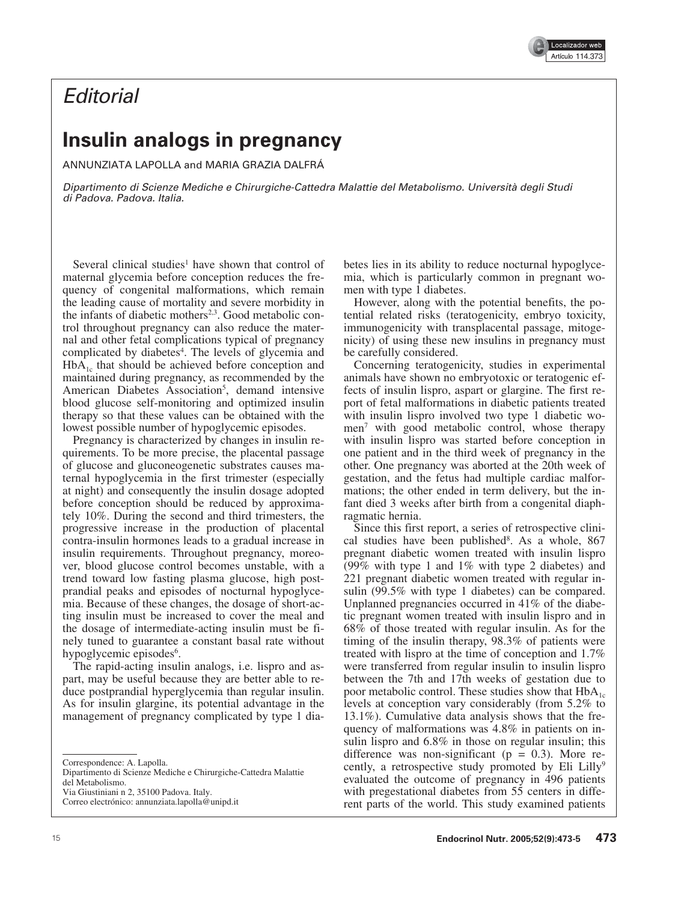

## **Editorial**

## **Insulin analogs in pregnancy**

ANNUNZIATA LAPOLLA and MARIA GRAZIA DALFRÁ

Dipartimento di Scienze Mediche e Chirurgiche-Cattedra Malattie del Metabolismo. Università degli Studi di Padova. Padova. Italia.

Several clinical studies<sup>1</sup> have shown that control of maternal glycemia before conception reduces the frequency of congenital malformations, which remain the leading cause of mortality and severe morbidity in the infants of diabetic mothers<sup>2,3</sup>. Good metabolic control throughout pregnancy can also reduce the maternal and other fetal complications typical of pregnancy complicated by diabetes<sup>4</sup>. The levels of glycemia and  $HbA_{1c}$  that should be achieved before conception and maintained during pregnancy, as recommended by the American Diabetes Association<sup>5</sup>, demand intensive blood glucose self-monitoring and optimized insulin therapy so that these values can be obtained with the lowest possible number of hypoglycemic episodes.

Pregnancy is characterized by changes in insulin requirements. To be more precise, the placental passage of glucose and gluconeogenetic substrates causes maternal hypoglycemia in the first trimester (especially at night) and consequently the insulin dosage adopted before conception should be reduced by approximately 10%. During the second and third trimesters, the progressive increase in the production of placental contra-insulin hormones leads to a gradual increase in insulin requirements. Throughout pregnancy, moreover, blood glucose control becomes unstable, with a trend toward low fasting plasma glucose, high postprandial peaks and episodes of nocturnal hypoglycemia. Because of these changes, the dosage of short-acting insulin must be increased to cover the meal and the dosage of intermediate-acting insulin must be finely tuned to guarantee a constant basal rate without hypoglycemic episodes<sup>6</sup>.

The rapid-acting insulin analogs, i.e. lispro and aspart, may be useful because they are better able to reduce postprandial hyperglycemia than regular insulin. As for insulin glargine, its potential advantage in the management of pregnancy complicated by type 1 diabetes lies in its ability to reduce nocturnal hypoglycemia, which is particularly common in pregnant women with type 1 diabetes.

However, along with the potential benefits, the potential related risks (teratogenicity, embryo toxicity, immunogenicity with transplacental passage, mitogenicity) of using these new insulins in pregnancy must be carefully considered.

Concerning teratogenicity, studies in experimental animals have shown no embryotoxic or teratogenic effects of insulin lispro, aspart or glargine. The first report of fetal malformations in diabetic patients treated with insulin lispro involved two type 1 diabetic women7 with good metabolic control, whose therapy with insulin lispro was started before conception in one patient and in the third week of pregnancy in the other. One pregnancy was aborted at the 20th week of gestation, and the fetus had multiple cardiac malformations; the other ended in term delivery, but the infant died 3 weeks after birth from a congenital diaphragmatic hernia.

Since this first report, a series of retrospective clinical studies have been published<sup>8</sup>. As a whole, 867 pregnant diabetic women treated with insulin lispro (99% with type 1 and 1% with type 2 diabetes) and 221 pregnant diabetic women treated with regular insulin (99.5% with type 1 diabetes) can be compared. Unplanned pregnancies occurred in 41% of the diabetic pregnant women treated with insulin lispro and in 68% of those treated with regular insulin. As for the timing of the insulin therapy, 98.3% of patients were treated with lispro at the time of conception and 1.7% were transferred from regular insulin to insulin lispro between the 7th and 17th weeks of gestation due to poor metabolic control. These studies show that  $HbA_{1c}$ levels at conception vary considerably (from 5.2% to 13.1%). Cumulative data analysis shows that the frequency of malformations was 4.8% in patients on insulin lispro and 6.8% in those on regular insulin; this difference was non-significant ( $p = 0.3$ ). More recently, a retrospective study promoted by Eli Lilly<sup>9</sup> evaluated the outcome of pregnancy in 496 patients with pregestational diabetes from 55 centers in different parts of the world. This study examined patients

Correspondence: A. Lapolla.

Dipartimento di Scienze Mediche e Chirurgiche-Cattedra Malattie del Metabolismo.

Via Giustiniani n 2, 35100 Padova. Italy.

Correo electrónico: annunziata.lapolla@unipd.it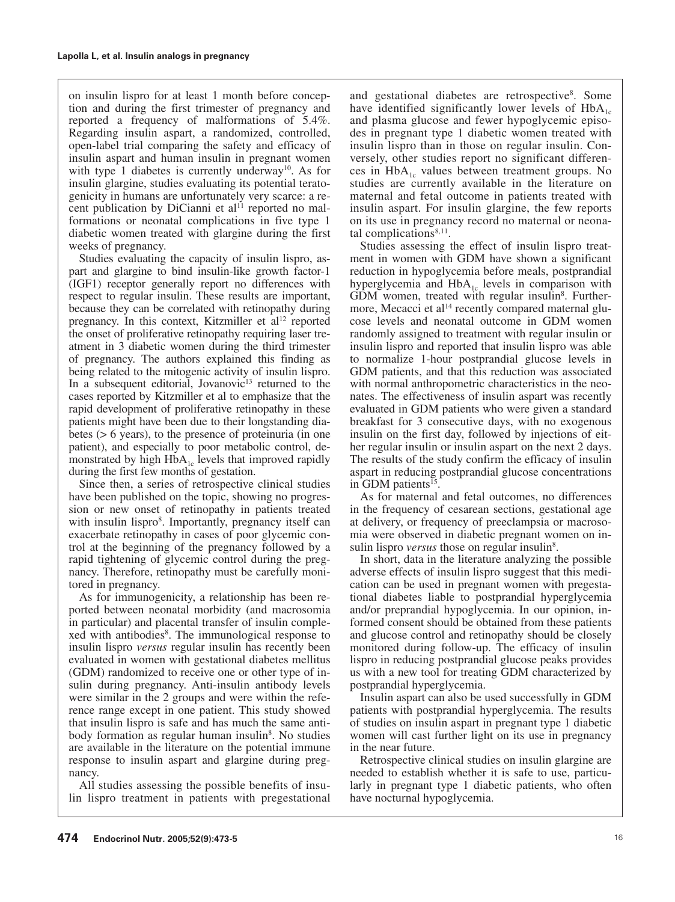on insulin lispro for at least 1 month before conception and during the first trimester of pregnancy and reported a frequency of malformations of 5.4%. Regarding insulin aspart, a randomized, controlled, open-label trial comparing the safety and efficacy of insulin aspart and human insulin in pregnant women with type 1 diabetes is currently underway<sup>10</sup>. As for insulin glargine, studies evaluating its potential teratogenicity in humans are unfortunately very scarce: a recent publication by DiCianni et al<sup>11</sup> reported no malformations or neonatal complications in five type 1 diabetic women treated with glargine during the first weeks of pregnancy.

Studies evaluating the capacity of insulin lispro, aspart and glargine to bind insulin-like growth factor-1 (IGF1) receptor generally report no differences with respect to regular insulin. These results are important, because they can be correlated with retinopathy during pregnancy. In this context, Kitzmiller et  $al<sup>12</sup>$  reported the onset of proliferative retinopathy requiring laser treatment in 3 diabetic women during the third trimester of pregnancy. The authors explained this finding as being related to the mitogenic activity of insulin lispro. In a subsequent editorial, Jovanovic $13$  returned to the cases reported by Kitzmiller et al to emphasize that the rapid development of proliferative retinopathy in these patients might have been due to their longstanding diabetes (> 6 years), to the presence of proteinuria (in one patient), and especially to poor metabolic control, demonstrated by high  $HbA_{1c}$  levels that improved rapidly during the first few months of gestation.

Since then, a series of retrospective clinical studies have been published on the topic, showing no progression or new onset of retinopathy in patients treated with insulin lispro<sup>8</sup>. Importantly, pregnancy itself can exacerbate retinopathy in cases of poor glycemic control at the beginning of the pregnancy followed by a rapid tightening of glycemic control during the pregnancy. Therefore, retinopathy must be carefully monitored in pregnancy.

As for immunogenicity, a relationship has been reported between neonatal morbidity (and macrosomia in particular) and placental transfer of insulin complexed with antibodies<sup>8</sup>. The immunological response to insulin lispro *versus* regular insulin has recently been evaluated in women with gestational diabetes mellitus (GDM) randomized to receive one or other type of insulin during pregnancy. Anti-insulin antibody levels were similar in the 2 groups and were within the reference range except in one patient. This study showed that insulin lispro is safe and has much the same antibody formation as regular human insulin<sup>8</sup>. No studies are available in the literature on the potential immune response to insulin aspart and glargine during pregnancy.

All studies assessing the possible benefits of insulin lispro treatment in patients with pregestational

and gestational diabetes are retrospective<sup>8</sup>. Some have identified significantly lower levels of  $HbA_{1c}$ and plasma glucose and fewer hypoglycemic episodes in pregnant type 1 diabetic women treated with insulin lispro than in those on regular insulin. Conversely, other studies report no significant differences in  $HbA_{1c}$  values between treatment groups. No studies are currently available in the literature on maternal and fetal outcome in patients treated with insulin aspart. For insulin glargine, the few reports on its use in pregnancy record no maternal or neonatal complications<sup>8,11</sup>.

Studies assessing the effect of insulin lispro treatment in women with GDM have shown a significant reduction in hypoglycemia before meals, postprandial hyperglycemia and  $HbA_{1c}$  levels in comparison with GDM women, treated with regular insulin<sup>8</sup>. Furthermore, Mecacci et al $14$  recently compared maternal glucose levels and neonatal outcome in GDM women randomly assigned to treatment with regular insulin or insulin lispro and reported that insulin lispro was able to normalize 1-hour postprandial glucose levels in GDM patients, and that this reduction was associated with normal anthropometric characteristics in the neonates. The effectiveness of insulin aspart was recently evaluated in GDM patients who were given a standard breakfast for 3 consecutive days, with no exogenous insulin on the first day, followed by injections of either regular insulin or insulin aspart on the next 2 days. The results of the study confirm the efficacy of insulin aspart in reducing postprandial glucose concentrations in GDM patients<sup>15</sup>.

As for maternal and fetal outcomes, no differences in the frequency of cesarean sections, gestational age at delivery, or frequency of preeclampsia or macrosomia were observed in diabetic pregnant women on insulin lispro *versus* those on regular insulin<sup>8</sup>.

In short, data in the literature analyzing the possible adverse effects of insulin lispro suggest that this medication can be used in pregnant women with pregestational diabetes liable to postprandial hyperglycemia and/or preprandial hypoglycemia. In our opinion, informed consent should be obtained from these patients and glucose control and retinopathy should be closely monitored during follow-up. The efficacy of insulin lispro in reducing postprandial glucose peaks provides us with a new tool for treating GDM characterized by postprandial hyperglycemia.

Insulin aspart can also be used successfully in GDM patients with postprandial hyperglycemia. The results of studies on insulin aspart in pregnant type 1 diabetic women will cast further light on its use in pregnancy in the near future.

Retrospective clinical studies on insulin glargine are needed to establish whether it is safe to use, particularly in pregnant type 1 diabetic patients, who often have nocturnal hypoglycemia.